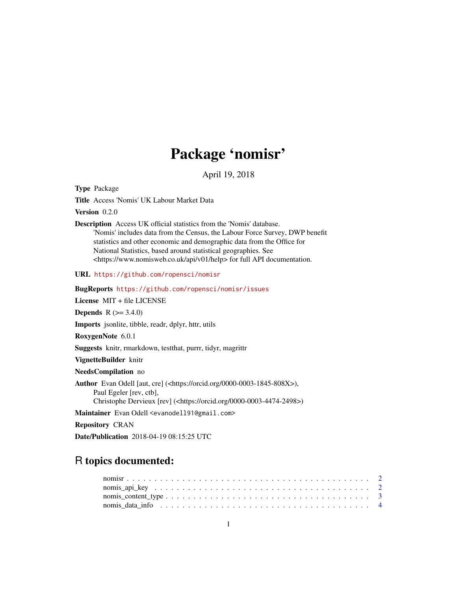# Package 'nomisr'

April 19, 2018

Type Package

Title Access 'Nomis' UK Labour Market Data

Version 0.2.0

Description Access UK official statistics from the 'Nomis' database. 'Nomis' includes data from the Census, the Labour Force Survey, DWP benefit statistics and other economic and demographic data from the Office for National Statistics, based around statistical geographies. See <https://www.nomisweb.co.uk/api/v01/help> for full API documentation.

URL <https://github.com/ropensci/nomisr>

BugReports <https://github.com/ropensci/nomisr/issues>

License MIT + file LICENSE

**Depends**  $R (= 3.4.0)$ 

Imports jsonlite, tibble, readr, dplyr, httr, utils

RoxygenNote 6.0.1

Suggests knitr, rmarkdown, testthat, purrr, tidyr, magrittr

VignetteBuilder knitr

NeedsCompilation no

Author Evan Odell [aut, cre] (<https://orcid.org/0000-0003-1845-808X>), Paul Egeler [rev, ctb], Christophe Dervieux [rev] (<https://orcid.org/0000-0003-4474-2498>)

Maintainer Evan Odell <evanodell91@gmail.com>

Repository CRAN

Date/Publication 2018-04-19 08:15:25 UTC

## R topics documented: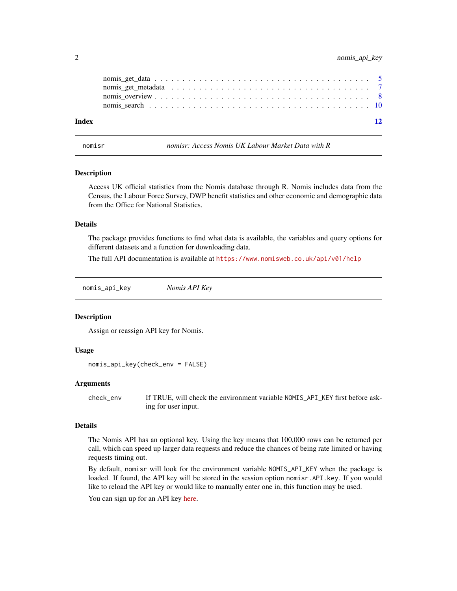<span id="page-1-0"></span>

| Index | $\overline{12}$ |  |
|-------|-----------------|--|

nomisr *nomisr: Access Nomis UK Labour Market Data with R*

#### Description

Access UK official statistics from the Nomis database through R. Nomis includes data from the Census, the Labour Force Survey, DWP benefit statistics and other economic and demographic data from the Office for National Statistics.

#### Details

The package provides functions to find what data is available, the variables and query options for different datasets and a function for downloading data.

The full API documentation is available at <https://www.nomisweb.co.uk/api/v01/help>

nomis\_api\_key *Nomis API Key*

#### Description

Assign or reassign API key for Nomis.

#### Usage

```
nomis_api_key(check_env = FALSE)
```
#### Arguments

check\_env If TRUE, will check the environment variable NOMIS\_API\_KEY first before asking for user input.

#### Details

The Nomis API has an optional key. Using the key means that 100,000 rows can be returned per call, which can speed up larger data requests and reduce the chances of being rate limited or having requests timing out.

By default, nomisr will look for the environment variable NOMIS\_API\_KEY when the package is loaded. If found, the API key will be stored in the session option nomisr.API.key. If you would like to reload the API key or would like to manually enter one in, this function may be used.

You can sign up for an API key [here.](https://www.nomisweb.co.uk/myaccount/userjoin.asp)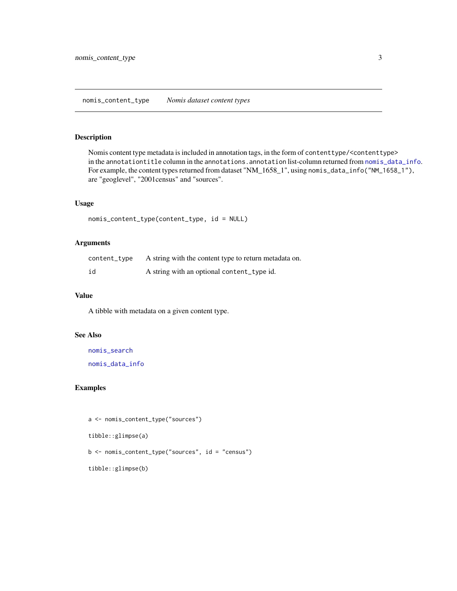#### <span id="page-2-1"></span><span id="page-2-0"></span>Description

Nomis content type metadata is included in annotation tags, in the form of contenttype/<contenttype> in the annotationtitle column in the annotations.annotation list-column returned from [nomis\\_data\\_info](#page-3-1). For example, the content types returned from dataset "NM\_1658\_1", using nomis\_data\_info("NM\_1658\_1"), are "geoglevel", "2001census" and "sources".

#### Usage

```
nomis_content_type(content_type, id = NULL)
```
#### Arguments

| content_type | A string with the content type to return metadata on. |
|--------------|-------------------------------------------------------|
| id           | A string with an optional content_type id.            |

#### Value

A tibble with metadata on a given content type.

#### See Also

[nomis\\_search](#page-9-1)

[nomis\\_data\\_info](#page-3-1)

#### Examples

```
a <- nomis_content_type("sources")
tibble::glimpse(a)
b <- nomis_content_type("sources", id = "census")
tibble::glimpse(b)
```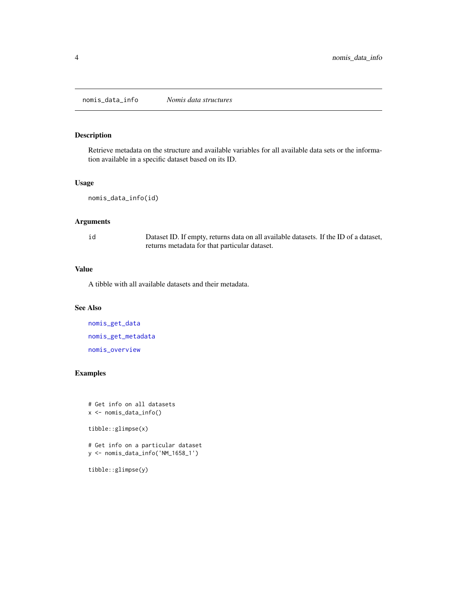<span id="page-3-1"></span><span id="page-3-0"></span>nomis\_data\_info *Nomis data structures*

## Description

Retrieve metadata on the structure and available variables for all available data sets or the information available in a specific dataset based on its ID.

#### Usage

nomis\_data\_info(id)

#### Arguments

id Dataset ID. If empty, returns data on all available datasets. If the ID of a dataset, returns metadata for that particular dataset.

#### Value

A tibble with all available datasets and their metadata.

#### See Also

[nomis\\_get\\_data](#page-4-1) [nomis\\_get\\_metadata](#page-6-1) [nomis\\_overview](#page-7-1)

## Examples

```
# Get info on all datasets
x <- nomis_data_info()
tibble::glimpse(x)
# Get info on a particular dataset
y <- nomis_data_info('NM_1658_1')
```
tibble::glimpse(y)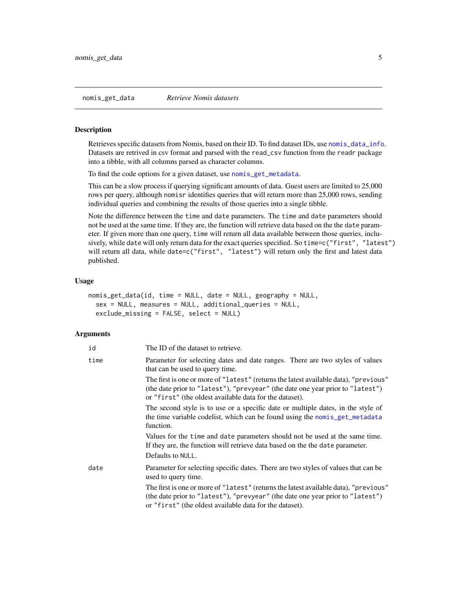#### <span id="page-4-1"></span><span id="page-4-0"></span>Description

Retrieves specific datasets from Nomis, based on their ID. To find dataset IDs, use [nomis\\_data\\_info](#page-3-1). Datasets are retrived in csv format and parsed with the read\_csv function from the readr package into a tibble, with all columns parsed as character columns.

To find the code options for a given dataset, use [nomis\\_get\\_metadata](#page-6-1).

This can be a slow process if querying significant amounts of data. Guest users are limited to 25,000 rows per query, although nomisr identifies queries that will return more than 25,000 rows, sending individual queries and combining the results of those queries into a single tibble.

Note the difference between the time and date parameters. The time and date parameters should not be used at the same time. If they are, the function will retrieve data based on the the date parameter. If given more than one query, time will return all data available between those queries, inclusively, while date will only return data for the exact queries specified. So time=c("first", "latest") will return all data, while date=c("first", "latest") will return only the first and latest data published.

#### Usage

```
nomis_get_data(id, time = NULL, date = NULL, geography = NULL,
 sex = NULL, measures = NULL, additional_queries = NULL,
  exclude_missing = FALSE, select = NULL)
```
#### Arguments

| id   | The ID of the dataset to retrieve.                                                                                                                                                                                                |
|------|-----------------------------------------------------------------------------------------------------------------------------------------------------------------------------------------------------------------------------------|
| time | Parameter for selecting dates and date ranges. There are two styles of values<br>that can be used to query time.                                                                                                                  |
|      | The first is one or more of "latest" (returns the latest available data), "previous"<br>(the date prior to "latest"), "prevyear" (the date one year prior to "latest")<br>or "first" (the oldest available data for the dataset). |
|      | The second style is to use or a specific date or multiple dates, in the style of<br>the time variable codelist, which can be found using the nomis_get_metadata<br>function.                                                      |
|      | Values for the time and date parameters should not be used at the same time.<br>If they are, the function will retrieve data based on the the date parameter.<br>Defaults to NULL.                                                |
| date | Parameter for selecting specific dates. There are two styles of values that can be<br>used to query time.                                                                                                                         |
|      | The first is one or more of "latest" (returns the latest available data), "previous"<br>(the date prior to "latest"), "prevyear" (the date one year prior to "latest")<br>or "first" (the oldest available data for the dataset). |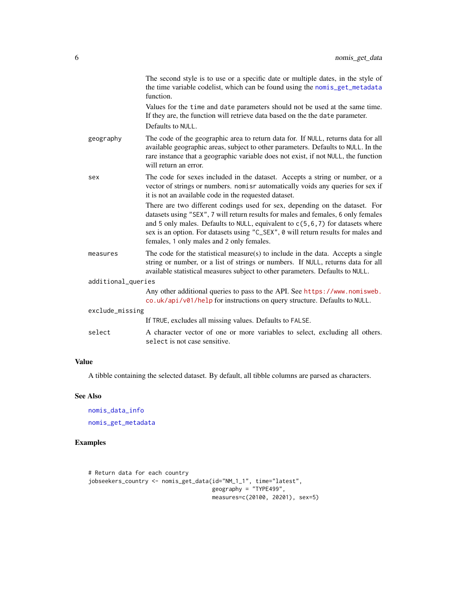<span id="page-5-0"></span>

|                    | The second style is to use or a specific date or multiple dates, in the style of<br>the time variable codelist, which can be found using the nomis_get_metadata<br>function.                                                                                                                                                                                                            |
|--------------------|-----------------------------------------------------------------------------------------------------------------------------------------------------------------------------------------------------------------------------------------------------------------------------------------------------------------------------------------------------------------------------------------|
|                    | Values for the time and date parameters should not be used at the same time.<br>If they are, the function will retrieve data based on the the date parameter.<br>Defaults to NULL.                                                                                                                                                                                                      |
| geography          | The code of the geographic area to return data for. If NULL, returns data for all<br>available geographic areas, subject to other parameters. Defaults to NULL. In the<br>rare instance that a geographic variable does not exist, if not NULL, the function<br>will return an error.                                                                                                   |
| sex                | The code for sexes included in the dataset. Accepts a string or number, or a<br>vector of strings or numbers. nomisr automatically voids any queries for sex if<br>it is not an available code in the requested dataset.                                                                                                                                                                |
|                    | There are two different codings used for sex, depending on the dataset. For<br>datasets using "SEX", 7 will return results for males and females, 6 only females<br>and 5 only males. Defaults to NULL, equivalent to $c(5, 6, 7)$ for datasets where<br>sex is an option. For datasets using "C_SEX", 0 will return results for males and<br>females, 1 only males and 2 only females. |
| measures           | The code for the statistical measure(s) to include in the data. Accepts a single<br>string or number, or a list of strings or numbers. If NULL, returns data for all<br>available statistical measures subject to other parameters. Defaults to NULL.                                                                                                                                   |
| additional_queries |                                                                                                                                                                                                                                                                                                                                                                                         |
|                    | Any other additional queries to pass to the API. See https://www.nomisweb.<br>co.uk/api/v01/help for instructions on query structure. Defaults to NULL.                                                                                                                                                                                                                                 |
| exclude_missing    |                                                                                                                                                                                                                                                                                                                                                                                         |
|                    | If TRUE, excludes all missing values. Defaults to FALSE.                                                                                                                                                                                                                                                                                                                                |
| select             | A character vector of one or more variables to select, excluding all others.<br>select is not case sensitive.                                                                                                                                                                                                                                                                           |

#### Value

A tibble containing the selected dataset. By default, all tibble columns are parsed as characters.

#### See Also

[nomis\\_data\\_info](#page-3-1) [nomis\\_get\\_metadata](#page-6-1)

#### Examples

```
# Return data for each country
jobseekers_country <- nomis_get_data(id="NM_1_1", time="latest",
                                     geography = "TYPE499",
                                     measures=c(20100, 20201), sex=5)
```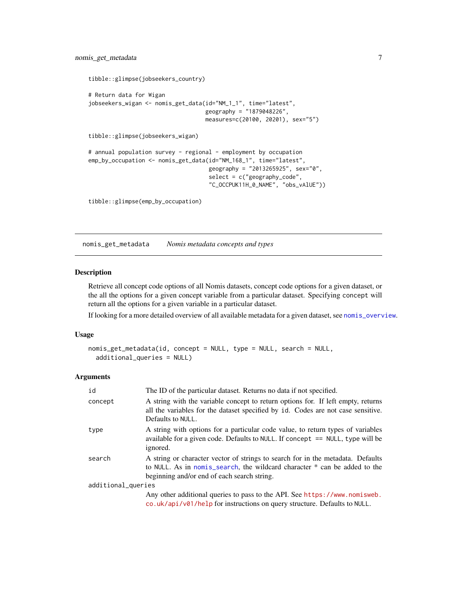```
tibble::glimpse(jobseekers_country)
# Return data for Wigan
jobseekers_wigan <- nomis_get_data(id="NM_1_1", time="latest",
                                   geography = "1879048226",
                                   measures=c(20100, 20201), sex="5")
tibble::glimpse(jobseekers_wigan)
# annual population survey - regional - employment by occupation
emp_by_occupation <- nomis_get_data(id="NM_168_1", time="latest",
                                    geography = "2013265925", sex="0",
                                    select = c("geography_code",
                                    "C_OCCPUK11H_0_NAME", "obs_vAlUE"))
```
tibble::glimpse(emp\_by\_occupation)

<span id="page-6-1"></span>nomis\_get\_metadata *Nomis metadata concepts and types*

#### Description

Retrieve all concept code options of all Nomis datasets, concept code options for a given dataset, or the all the options for a given concept variable from a particular dataset. Specifying concept will return all the options for a given variable in a particular dataset.

If looking for a more detailed overview of all available metadata for a given dataset, see [nomis\\_overview](#page-7-1).

#### Usage

```
nomis_get_metadata(id, concept = NULL, type = NULL, search = NULL,
  additional_queries = NULL)
```
#### **Arguments**

| id                 | The ID of the particular dataset. Returns no data if not specified.                                                                                                                                         |
|--------------------|-------------------------------------------------------------------------------------------------------------------------------------------------------------------------------------------------------------|
| concept            | A string with the variable concept to return options for. If left empty, returns<br>all the variables for the dataset specified by id. Codes are not case sensitive.<br>Defaults to NULL.                   |
| type               | A string with options for a particular code value, to return types of variables<br>available for a given code. Defaults to NULL. If concept $==$ NULL, type will be<br>ignored.                             |
| search             | A string or character vector of strings to search for in the metadata. Defaults<br>to NULL. As in nomis_search, the wildcard character * can be added to the<br>beginning and/or end of each search string. |
| additional_queries |                                                                                                                                                                                                             |
|                    | Any other additional queries to pass to the API. See https://www.nomisweb.<br>co.uk/api/v01/help for instructions on query structure. Defaults to NULL.                                                     |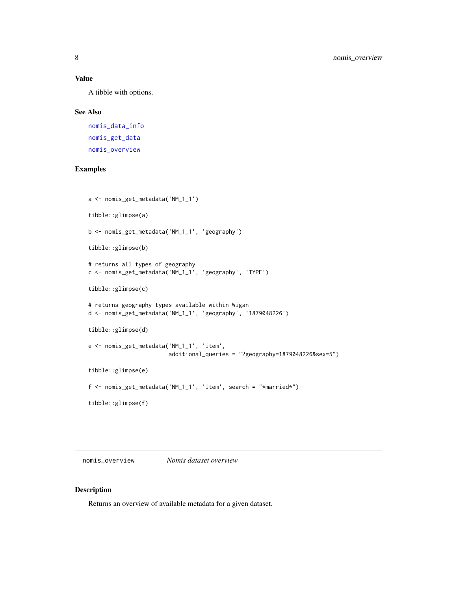#### <span id="page-7-0"></span>Value

A tibble with options.

#### See Also

[nomis\\_data\\_info](#page-3-1) [nomis\\_get\\_data](#page-4-1) [nomis\\_overview](#page-7-1)

#### Examples

```
a <- nomis_get_metadata('NM_1_1')
tibble::glimpse(a)
b <- nomis_get_metadata('NM_1_1', 'geography')
tibble::glimpse(b)
# returns all types of geography
c <- nomis_get_metadata('NM_1_1', 'geography', 'TYPE')
tibble::glimpse(c)
# returns geography types available within Wigan
d <- nomis_get_metadata('NM_1_1', 'geography', '1879048226')
tibble::glimpse(d)
e <- nomis_get_metadata('NM_1_1', 'item',
                        additional_queries = "?geography=1879048226&sex=5")
tibble::glimpse(e)
f <- nomis_get_metadata('NM_1_1', 'item', search = "*married*")
tibble::glimpse(f)
```
<span id="page-7-1"></span>nomis\_overview *Nomis dataset overview*

#### Description

Returns an overview of available metadata for a given dataset.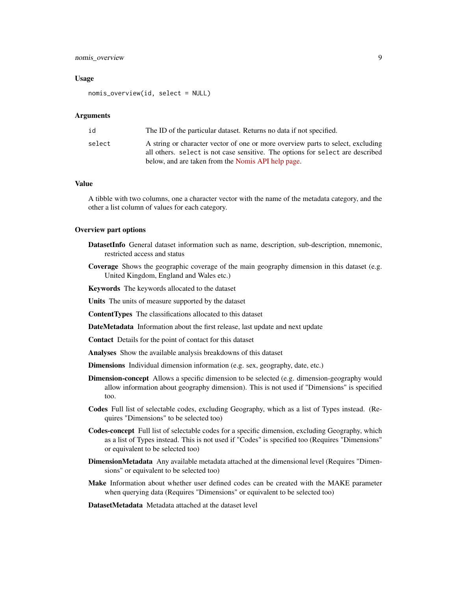#### nomis\_overview 9

#### Usage

nomis\_overview(id, select = NULL)

#### Arguments

| id     | The ID of the particular dataset. Returns no data if not specified.                                                                                               |
|--------|-------------------------------------------------------------------------------------------------------------------------------------------------------------------|
| select | A string or character vector of one or more overview parts to select, excluding<br>all others, select is not case sensitive. The options for select are described |
|        | below, and are taken from the Nomis API help page.                                                                                                                |

#### Value

A tibble with two columns, one a character vector with the name of the metadata category, and the other a list column of values for each category.

#### Overview part options

- DatasetInfo General dataset information such as name, description, sub-description, mnemonic, restricted access and status
- Coverage Shows the geographic coverage of the main geography dimension in this dataset (e.g. United Kingdom, England and Wales etc.)

Keywords The keywords allocated to the dataset

Units The units of measure supported by the dataset

ContentTypes The classifications allocated to this dataset

DateMetadata Information about the first release, last update and next update

Contact Details for the point of contact for this dataset

Analyses Show the available analysis breakdowns of this dataset

Dimensions Individual dimension information (e.g. sex, geography, date, etc.)

- **Dimension-concept** Allows a specific dimension to be selected (e.g. dimension-geography would allow information about geography dimension). This is not used if "Dimensions" is specified too.
- Codes Full list of selectable codes, excluding Geography, which as a list of Types instead. (Requires "Dimensions" to be selected too)
- Codes-concept Full list of selectable codes for a specific dimension, excluding Geography, which as a list of Types instead. This is not used if "Codes" is specified too (Requires "Dimensions" or equivalent to be selected too)
- DimensionMetadata Any available metadata attached at the dimensional level (Requires "Dimensions" or equivalent to be selected too)
- Make Information about whether user defined codes can be created with the MAKE parameter when querying data (Requires "Dimensions" or equivalent to be selected too)

DatasetMetadata Metadata attached at the dataset level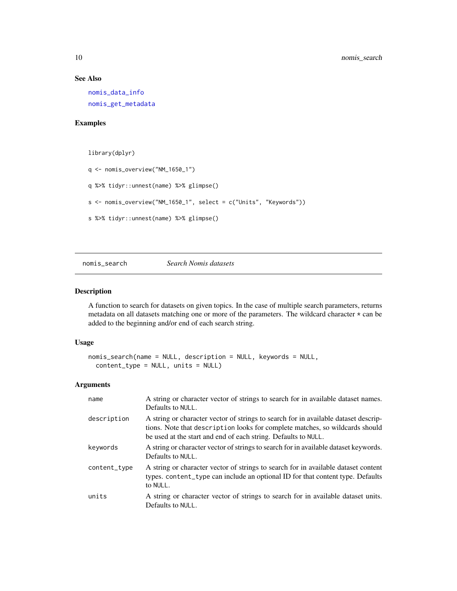#### See Also

[nomis\\_data\\_info](#page-3-1) [nomis\\_get\\_metadata](#page-6-1)

#### Examples

library(dplyr)

```
q <- nomis_overview("NM_1650_1")
q %>% tidyr::unnest(name) %>% glimpse()
s <- nomis_overview("NM_1650_1", select = c("Units", "Keywords"))
s %>% tidyr::unnest(name) %>% glimpse()
```
<span id="page-9-1"></span>nomis\_search *Search Nomis datasets*

#### Description

A function to search for datasets on given topics. In the case of multiple search parameters, returns metadata on all datasets matching one or more of the parameters. The wildcard character \* can be added to the beginning and/or end of each search string.

#### Usage

```
nomis_search(name = NULL, description = NULL, keywords = NULL,
 content_type = NULL, units = NULL)
```
#### Arguments

| name         | A string or character vector of strings to search for in available dataset names.<br>Defaults to NULL.                                                                                                                                |
|--------------|---------------------------------------------------------------------------------------------------------------------------------------------------------------------------------------------------------------------------------------|
| description  | A string or character vector of strings to search for in available dataset descrip-<br>tions. Note that description looks for complete matches, so wildcards should<br>be used at the start and end of each string. Defaults to NULL. |
| keywords     | A string or character vector of strings to search for in available dataset keywords.<br>Defaults to NULL.                                                                                                                             |
| content_type | A string or character vector of strings to search for in available dataset content<br>types. content_type can include an optional ID for that content type. Defaults<br>to NULL.                                                      |
| units        | A string or character vector of strings to search for in available dataset units.<br>Defaults to NULL.                                                                                                                                |

<span id="page-9-0"></span>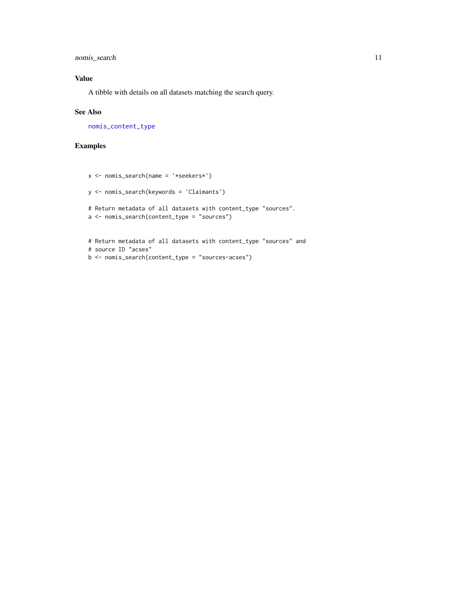<span id="page-10-0"></span>nomis\_search 11

#### Value

A tibble with details on all datasets matching the search query.

#### See Also

[nomis\\_content\\_type](#page-2-1)

#### Examples

```
x <- nomis_search(name = '*seekers*')
y <- nomis_search(keywords = 'Claimants')
# Return metadata of all datasets with content_type "sources".
a <- nomis_search(content_type = "sources")
# Return metadata of all datasets with content_type "sources" and
# source ID "acses"
b <- nomis_search(content_type = "sources-acses")
```